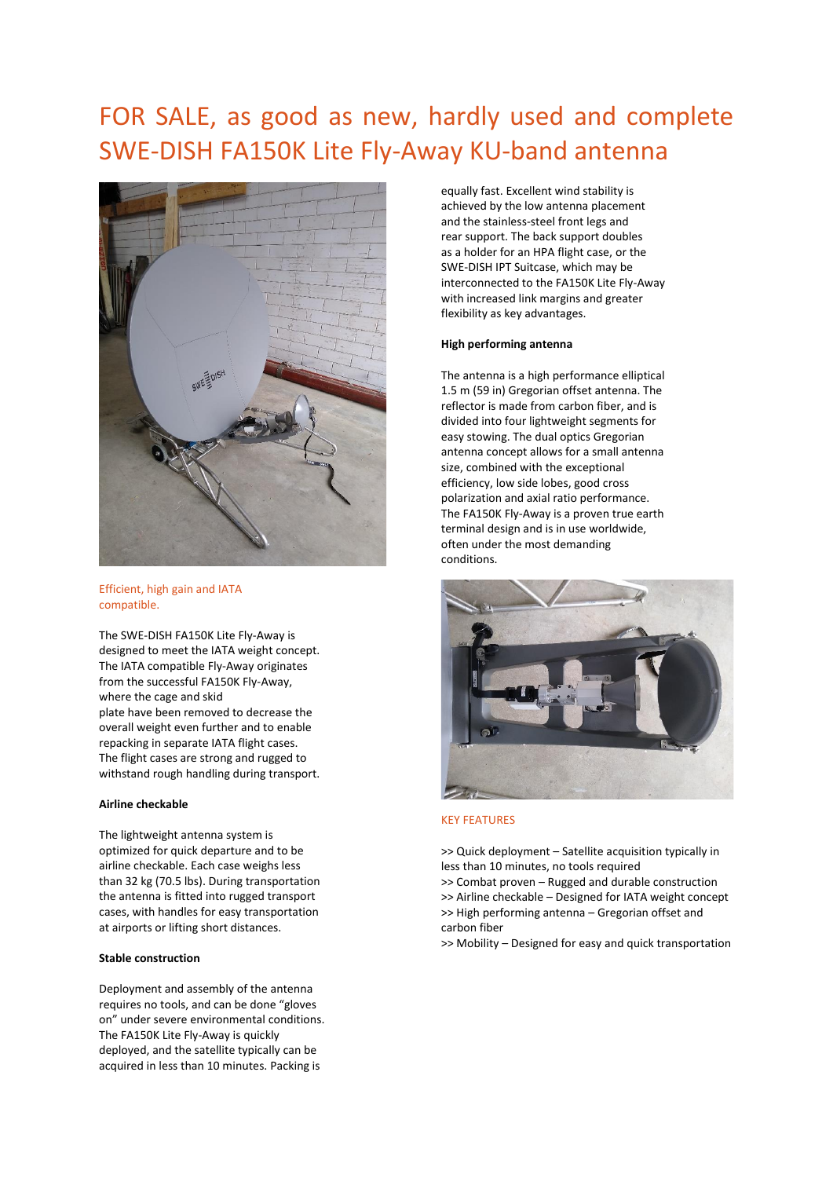# FOR SALE, as good as new, hardly used and complete SWE-DISH FA150K Lite Fly-Away KU-band antenna



## Efficient, high gain and IATA compatible.

The SWE-DISH FA150K Lite Fly-Away is designed to meet the IATA weight concept. The IATA compatible Fly-Away originates from the successful FA150K Fly-Away, where the cage and skid plate have been removed to decrease the overall weight even further and to enable repacking in separate IATA flight cases. The flight cases are strong and rugged to withstand rough handling during transport.

#### **Airline checkable**

The lightweight antenna system is optimized for quick departure and to be airline checkable. Each case weighs less than 32 kg (70.5 lbs). During transportation the antenna is fitted into rugged transport cases, with handles for easy transportation at airports or lifting short distances.

## **Stable construction**

Deployment and assembly of the antenna requires no tools, and can be done "gloves on" under severe environmental conditions. The FA150K Lite Fly-Away is quickly deployed, and the satellite typically can be acquired in less than 10 minutes. Packing is

equally fast. Excellent wind stability is achieved by the low antenna placement and the stainless-steel front legs and rear support. The back support doubles as a holder for an HPA flight case, or the SWE-DISH IPT Suitcase, which may be interconnected to the FA150K Lite Fly-Away with increased link margins and greater flexibility as key advantages.

## **High performing antenna**

The antenna is a high performance elliptical 1.5 m (59 in) Gregorian offset antenna. The reflector is made from carbon fiber, and is divided into four lightweight segments for easy stowing. The dual optics Gregorian antenna concept allows for a small antenna size, combined with the exceptional efficiency, low side lobes, good cross polarization and axial ratio performance. The FA150K Fly-Away is a proven true earth terminal design and is in use worldwide, often under the most demanding conditions.



#### KEY FEATURES

>> Quick deployment – Satellite acquisition typically in less than 10 minutes, no tools required

>> Combat proven – Rugged and durable construction >> Airline checkable – Designed for IATA weight concept >> High performing antenna – Gregorian offset and carbon fiber

>> Mobility – Designed for easy and quick transportation